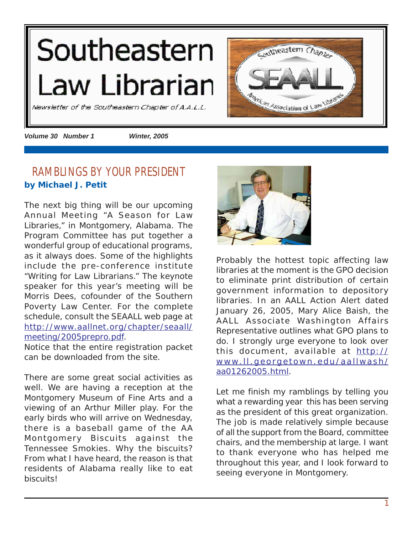# <span id="page-0-0"></span>Southeastern Law Librarian





*Volume 30 Number 1 Winter, 2005*

# **RAMBLINGS BY YOUR PRESIDENT by Michael J. Petit**

The next big thing will be our upcoming Annual Meeting "A Season for Law Libraries," in Montgomery, Alabama. The Program Committee has put together a wonderful group of educational programs, as it always does. Some of the highlights include the pre-conference institute "Writing for Law Librarians." The keynote speaker for this year's meeting will be Morris Dees, cofounder of the Southern Poverty Law Center. For the complete schedule, consult the SEAALL web page at [http://www.aallnet.org/chapter/seaall/](http://www.aallnet.org/chapter/seaall/meeting/2005prepro.pdf) [meeting/2005prepro.pdf.](http://www.aallnet.org/chapter/seaall/meeting/2005prepro.pdf)

Notice that the entire registration packet can be downloaded from the site.

There are some great social activities as well. We are having a reception at the Montgomery Museum of Fine Arts and a viewing of an Arthur Miller play. For the early birds who will arrive on Wednesday, there is a baseball game of the AA Montgomery Biscuits against the Tennessee Smokies. Why the biscuits? From what I have heard, the reason is that residents of Alabama really like to eat biscuits!



Probably the hottest topic affecting law libraries at the moment is the GPO decision to eliminate print distribution of certain government information to depository libraries. In an AALL Action Alert dated January 26, 2005, Mary Alice Baish, the AALL Associate Washington Affairs Representative outlines what GPO plans to do. I strongly urge everyone to look over this document, available at [http://](http://www.ll.georgetown.edu/aallwash/aa01262005.html) [www.ll.georgetown.edu/aallwash/](http://www.ll.georgetown.edu/aallwash/aa01262005.html) [aa01262005.html](http://www.ll.georgetown.edu/aallwash/aa01262005.html).

Let me finish my ramblings by telling you what a rewarding year this has been serving as the president of this great organization. The job is made relatively simple because of all the support from the Board, committee chairs, and the membership at large. I want to thank everyone who has helped me throughout this year, and I look forward to seeing everyone in Montgomery.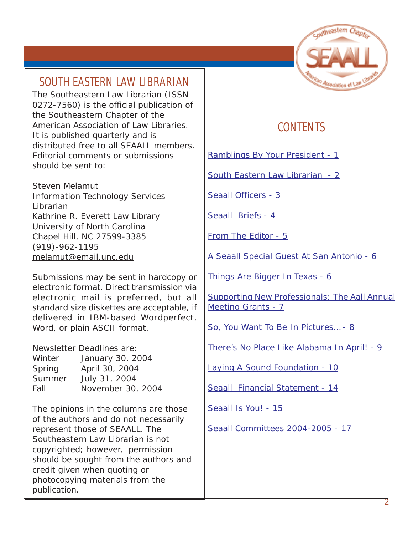# **SOUTH EASTERN LAW LIBRARIAN**

The Southeastern Law Librarian (ISSN 0272-7560) is the official publication of the Southeastern Chapter of the American Association of Law Libraries. It is published quarterly and is distributed free to all SEAALL members. Editorial comments or submissions should be sent to:

Steven Melamut Information Technology Services Librarian Kathrine R. Everett Law Library University of North Carolina Chapel Hill, NC 27599-3385 (919)-962-1195 [melamut@email.unc.edu](mailto:melamut@email.unc.edu)

Submissions may be sent in hardcopy or electronic format. Direct transmission via electronic mail is preferred, but all standard size diskettes are acceptable, if delivered in IBM-based Wordperfect, Word, or plain ASCII format.

Newsletter Deadlines are: Winter January 30, 2004 Spring April 30, 2004 Summer July 31, 2004 Fall November 30, 2004

The opinions in the columns are those of the authors and do not necessarily represent those of SEAALL. The Southeastern Law Librarian is not copyrighted; however, permission should be sought from the authors and credit given when quoting or photocopying materials from the publication.



# **CONTENTS**

[Ramblings By Your President - 1](#page-0-0)

South Eastern Law Librarian - 2

[Seaall Officers - 3](#page-2-0)

[Seaall Briefs - 4](#page-3-0)

[From The Editor - 5](#page-4-0)

[A Seaall Special Guest At San Antonio - 6](#page-5-0)

[Things Are Bigger In Texas - 6](#page-5-0)

[Supporting New Professionals: The Aall Annual](#page-6-0) [Meeting Grants - 7](#page-6-0)

[So, You Want To Be In Pictures… - 8](#page-7-0)

[There's No Place Like Alabama In April! - 9](#page-8-0)

[Laying A Sound Foundation - 10](#page-9-0)

[Seaall Financial Statement - 14](#page-13-0)

[Seaall Is You! - 15](#page-14-0)

[Seaall Committees 2004-2005 - 17](#page-16-0)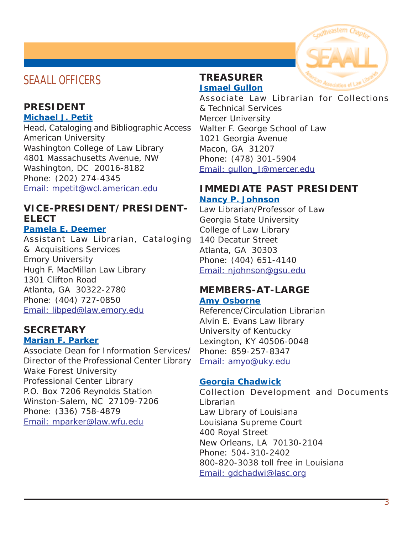# <span id="page-2-0"></span>**SEAALL OFFICERS**

# **PRESIDENT**

**Michael J. Petit**

Head, Cataloging and Bibliographic Access American University Washington College of Law Library 4801 Massachusetts Avenue, NW Washington, DC 20016-8182 Phone: (202) 274-4345 [Email: mpetit@wcl.american.edu](mailto:mpetit@wcl.american.edu)

## **VICE-PRESIDENT/PRESIDENT-ELECT**

#### **Pamela E. Deemer**

Assistant Law Librarian, Cataloging & Acquisitions Services Emory University Hugh F. MacMillan Law Library 1301 Clifton Road Atlanta, GA 30322-2780 Phone: (404) 727-0850 [Email: libped@law.emory.edu](mailto:libped@law.emory.edu)

# **SECRETARY**

#### **Marian F. Parker**

Associate Dean for Information Services/ Director of the Professional Center Library Wake Forest University Professional Center Library P.O. Box 7206 Reynolds Station Winston-Salem, NC 27109-7206 Phone: (336) 758-4879 [Email: mparker@law.wfu.edu](mailto:mparker@law.wfu.edu)

#### **TREASURER Ismael Gullon**

Associate Law Librarian for Collections & Technical Services Mercer University Walter F. George School of Law 1021 Georgia Avenue Macon, GA 31207 Phone: (478) 301-5904 [Email: gullon\\_I@mercer.edu](mailto:gullon_I@mercer.edu)

### **IMMEDIATE PAST PRESIDENT Nancy P. Johnson**

Law Librarian/Professor of Law Georgia State University College of Law Library 140 Decatur Street Atlanta, GA 30303 Phone: (404) 651-4140 [Email: njohnson@gsu.edu](mailto:njohnson@gsu.edu)

# **MEMBERS-AT-LARGE**

#### **Amy Osborne**

Reference/Circulation Librarian Alvin E. Evans Law library University of Kentucky Lexington, KY 40506-0048 Phone: 859-257-8347 [Email: amyo@uky.edu](mailto:amyo@uky.edu)

## **Georgia Chadwick**

Collection Development and Documents Librarian Law Library of Louisiana Louisiana Supreme Court 400 Royal Street New Orleans, LA 70130-2104 Phone: 504-310-2402 800-820-3038 toll free in Louisiana [Email: gdchadwi@lasc.org](mailto:gdchadwi@lasc.org)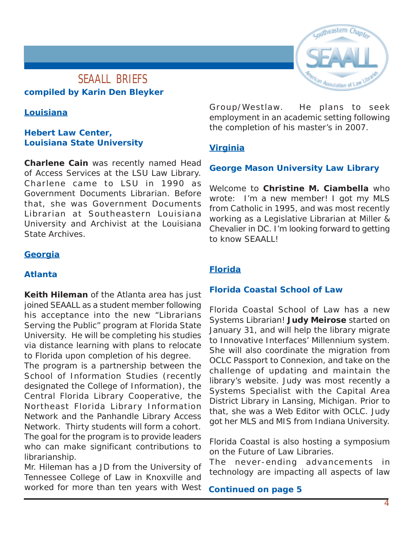## <span id="page-3-0"></span>**SEAALL BRIEFS compiled by Karin Den Bleyker**

#### **Louisiana**

#### **Hebert Law Center, Louisiana State University**

**Charlene Cain** was recently named Head of Access Services at the LSU Law Library. Charlene came to LSU in 1990 as Government Documents Librarian. Before that, she was Government Documents Librarian at Southeastern Louisiana University and Archivist at the Louisiana State Archives.

#### **Georgia**

#### **Atlanta**

**Keith Hileman** of the Atlanta area has just joined SEAALL as a student member following his acceptance into the new "Librarians Serving the Public" program at Florida State University. He will be completing his studies via distance learning with plans to relocate to Florida upon completion of his degree.

The program is a partnership between the School of Information Studies (recently designated the College of Information), the Central Florida Library Cooperative, the Northeast Florida Library Information Network and the Panhandle Library Access Network. Thirty students will form a cohort. The goal for the program is to provide leaders who can make significant contributions to librarianship.

Mr. Hileman has a JD from the University of Tennessee College of Law in Knoxville and worked for more than ten years with West Group/Westlaw. He plans to seek employment in an academic setting following the completion of his master's in 2007.

#### **Virginia**

#### **George Mason University Law Library**

Welcome to **Christine M. Ciambella** who wrote: I'm a new member! I got my MLS from Catholic in 1995, and was most recently working as a Legislative Librarian at Miller & Chevalier in DC. I'm looking forward to getting to know SEAALLL

#### **Florida**

#### **Florida Coastal School of Law**

Florida Coastal School of Law has a new Systems Librarian! **Judy Meirose** started on January 31, and will help the library migrate to Innovative Interfaces' Millennium system. She will also coordinate the migration from OCLC Passport to Connexion, and take on the challenge of updating and maintain the library's website. Judy was most recently a Systems Specialist with the Capital Area District Library in Lansing, Michigan. Prior to that, she was a Web Editor with OCLC. Judy got her MLS and MIS from Indiana University.

Florida Coastal is also hosting a symposium on the Future of Law Libraries.

The never-ending advancements in technology are impacting all aspects of law

**Continued on page 5**



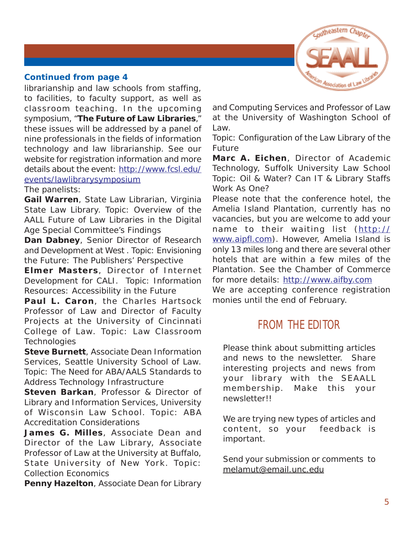

#### <span id="page-4-0"></span>**Continued from page 4**

librarianship and law schools from staffing, to facilities, to faculty support, as well as classroom teaching. In the upcoming symposium, "**The Future of Law Libraries**," these issues will be addressed by a panel of nine professionals in the fields of information technology and law librarianship. See our website for registration information and more details about the event: [http://www.fcsl.edu/]( http://www.fcsl.edu/events/lawlibrarysymposium) [events/lawlibrarysymposium]( http://www.fcsl.edu/events/lawlibrarysymposium)

The panelists:

**Gail Warren**, State Law Librarian, Virginia State Law Library. Topic: Overview of the AALL Future of Law Libraries in the Digital Age Special Committee's Findings

**Dan Dabney**, Senior Director of Research and Development at West . Topic: Envisioning the Future: The Publishers' Perspective

**Elmer Masters**, Director of Internet Development for CALI. Topic: Information Resources: Accessibility in the Future

**Paul L. Caron**, the Charles Hartsock Professor of Law and Director of Faculty Projects at the University of Cincinnati College of Law. Topic: Law Classroom **Technologies** 

**Steve Burnett**, Associate Dean Information Services, Seattle University School of Law. Topic: The Need for ABA/AALS Standards to Address Technology Infrastructure

**Steven Barkan**, Professor & Director of Library and Information Services, University of Wisconsin Law School. Topic: ABA Accreditation Considerations

**James G. Milles**, Associate Dean and Director of the Law Library, Associate Professor of Law at the University at Buffalo, State University of New York. Topic: Collection Economics

**Penny Hazelton**, Associate Dean for Library

and Computing Services and Professor of Law at the University of Washington School of Law.

Topic: Configuration of the Law Library of the Future

**Marc A. Eichen**, Director of Academic Technology, Suffolk University Law School Topic: Oil & Water? Can IT & Library Staffs Work As One?

Please note that the conference hotel, the Amelia Island Plantation, currently has no vacancies, but you are welcome to add your name to their waiting list ([http://](http://www.aipfl.com) [www.aipfl.com\)](http://www.aipfl.com). However, Amelia Island is only 13 miles long and there are several other hotels that are within a few miles of the Plantation. See the Chamber of Commerce for more details: <http://www.aifby.com> We are accepting conference registration monies until the end of February.

# **FROM THE EDITOR**

Please think about submitting articles and news to the newsletter. Share interesting projects and news from your library with the SEAALL membership. Make this your newsletter!!

We are trying new types of articles and content, so your feedback is important.

Send your submission or comments to [melamut@email.unc.edu](mailto:melamut@email.unc.edu)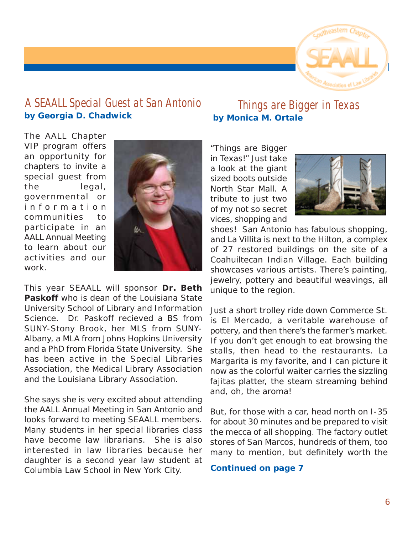

# <span id="page-5-0"></span>**A SEAALL Special Guest at San Antonio by Georgia D. Chadwick**

**Things are Bigger in Texas by Monica M. Ortale**

The AALL Chapter VIP program offers an opportunity for chapters to invite a special guest from the legal, governmental or information communities to participate in an AALL Annual Meeting to learn about our activities and our work.



This year SEAALL will sponsor **Dr. Beth Paskoff** who is dean of the Louisiana State University School of Library and Information Science. Dr. Paskoff recieved a BS from SUNY-Stony Brook, her MLS from SUNY-Albany, a MLA from Johns Hopkins University and a PhD from Florida State University. She has been active in the Special Libraries Association, the Medical Library Association and the Louisiana Library Association.

She says she is very excited about attending the AALL Annual Meeting in San Antonio and looks forward to meeting SEAALL members. Many students in her special libraries class have become law librarians. She is also interested in law libraries because her daughter is a second year law student at Columbia Law School in New York City.

"Things are Bigger in Texas!" Just take a look at the giant sized boots outside North Star Mall. A tribute to just two of my not so secret vices, shopping and



shoes! San Antonio has fabulous shopping, and La Villita is next to the Hilton, a complex of 27 restored buildings on the site of a Coahuiltecan Indian Village. Each building showcases various artists. There's painting, jewelry, pottery and beautiful weavings, all unique to the region.

Just a short trolley ride down Commerce St. is El Mercado, a veritable warehouse of pottery, and then there's the farmer's market. If you don't get enough to eat browsing the stalls, then head to the restaurants. La Margarita is my favorite, and I can picture it now as the colorful waiter carries the sizzling fajitas platter, the steam streaming behind and, oh, the aroma!

But, for those with a car, head north on I-35 for about 30 minutes and be prepared to visit the mecca of all shopping. The factory outlet stores of San Marcos, hundreds of them, too many to mention, but definitely worth the

**Continued on page 7**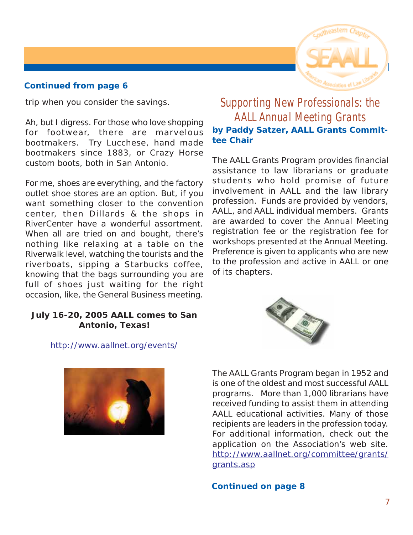#### <span id="page-6-0"></span>**Continued from page 6**

trip when you consider the savings.

Ah, but I digress. For those who love shopping for footwear, there are marvelous bootmakers. Try Lucchese, hand made bootmakers since 1883, or Crazy Horse custom boots, both in San Antonio.

For me, shoes are everything, and the factory outlet shoe stores are an option. But, if you want something closer to the convention center, then Dillards & the shops in RiverCenter have a wonderful assortment. When all are tried on and bought, there's nothing like relaxing at a table on the Riverwalk level, watching the tourists and the riverboats, sipping a Starbucks coffee, knowing that the bags surrounding you are full of shoes just waiting for the right occasion, like, the General Business meeting.

#### **July 16-20, 2005 AALL comes to San Antonio, Texas!**

#### <http://www.aallnet.org/events/>



# **Supporting New Professionals: the AALL Annual Meeting Grants by Paddy Satzer, AALL Grants Committee Chair**

The AALL Grants Program provides financial assistance to law librarians or graduate students who hold promise of future involvement in AALL and the law library profession. Funds are provided by vendors, AALL, and AALL individual members. Grants are awarded to cover the Annual Meeting registration fee or the registration fee for workshops presented at the Annual Meeting. Preference is given to applicants who are new to the profession and active in AALL or one of its chapters.



The AALL Grants Program began in 1952 and is one of the oldest and most successful AALL programs. More than 1,000 librarians have received funding to assist them in attending AALL educational activities. Many of those recipients are leaders in the profession today. For additional information, check out the application on the Association's web site. [http://www.aallnet.org/committee/grants/](http://www.aallnet.org/committee/grants/grants.asp) [grants.asp](http://www.aallnet.org/committee/grants/grants.asp)

#### **Continued on page 8**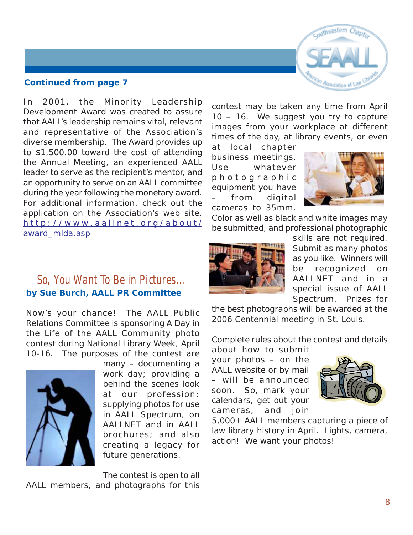

#### <span id="page-7-0"></span>**Continued from page 7**

In 2001, the Minority Leadership Development Award was created to assure that AALL's leadership remains vital, relevant and representative of the Association's diverse membership. The Award provides up to \$1,500.00 toward the cost of attending the Annual Meeting, an experienced AALL leader to serve as the recipient's mentor, and an opportunity to serve on an AALL committee during the year following the monetary award. For additional information, check out the application on the Association's web site. http://www [.aallnet.org/about/](http://www.aallnet.org/about/award_mlda.asp) [award\\_mlda.asp](http://www.aallnet.org/about/award_mlda.asp)

contest may be taken any time from April 10 – 16. We suggest you try to capture images from your workplace at different times of the day, at library events, or even

at local chapter business meetings. Use whatever photographic equipment you have from digital cameras to 35mm.



Color as well as black and white images may be submitted, and professional photographic



skills are not required. Submit as many photos as you like. Winners will be recognized on AALLNET and in a special issue of AALL Spectrum. Prizes for

the best photographs will be awarded at the 2006 Centennial meeting in St. Louis.

Complete rules about the contest and details

about how to submit your photos – on the AALL website or by mail – will be announced soon. So, mark your calendars, get out your cameras, and join



5,000+ AALL members capturing a piece of law library history in April. Lights, camera, action! We want your photos!

## **So, You Want To Be in Pictures… by Sue Burch, AALL PR Committee**

Now's your chance! The AALL Public Relations Committee is sponsoring A Day in the Life of the AALL Community photo contest during National Library Week, April 10-16. The purposes of the contest are



many – documenting a work day; providing a behind the scenes look at our profession; supplying photos for use in AALL Spectrum, on AALLNET and in AALL brochures; and also creating a legacy for future generations.

The contest is open to all AALL members, and photographs for this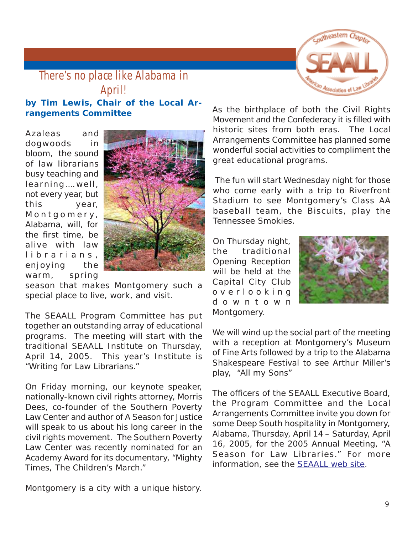

## <span id="page-8-0"></span>**There's no place like Alabama in April! by Tim Lewis, Chair of the Local Arrangements Committee**

Azaleas and dogwoods in bloom, the sound of law librarians busy teaching and learning….well, not every year, but this year, Montgomery, Alabama, will, for the first time, be alive with law librarians, enjoying the warm, spring



season that makes Montgomery such a special place to live, work, and visit.

The SEAALL Program Committee has put together an outstanding array of educational programs. The meeting will start with the traditional SEAALL Institute on Thursday, April 14, 2005. This year's Institute is "Writing for Law Librarians."

On Friday morning, our keynote speaker, nationally-known civil rights attorney, Morris Dees, co-founder of the Southern Poverty Law Center and author of A Season for Justice will speak to us about his long career in the civil rights movement. The Southern Poverty Law Center was recently nominated for an Academy Award for its documentary, "Mighty Times, The Children's March."

Montgomery is a city with a unique history.

As the birthplace of both the Civil Rights Movement and the Confederacy it is filled with historic sites from both eras. The Local Arrangements Committee has planned some wonderful social activities to compliment the great educational programs.

 The fun will start Wednesday night for those who come early with a trip to Riverfront Stadium to see Montgomery's Class AA baseball team, the Biscuits, play the Tennessee Smokies.

On Thursday night, the traditional Opening Reception will be held at the Capital City Club overlooking downtown Montgomery.



We will wind up the social part of the meeting with a reception at Montgomery's Museum of Fine Arts followed by a trip to the Alabama Shakespeare Festival to see Arthur Miller's play, "All my Sons"

The officers of the SEAALL Executive Board, the Program Committee and the Local Arrangements Committee invite you down for some Deep South hospitality in Montgomery, Alabama, Thursday, April 14 – Saturday, April 16, 2005, for the 2005 Annual Meeting, "A Season for Law Libraries." For more information, see the [SEAALL web site.](http://www.aallnet.org/chapter/seaall/meeting/index.htm)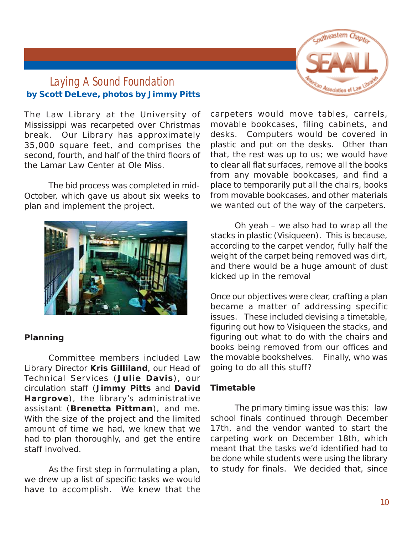

# <span id="page-9-0"></span>**Laying A Sound Foundation by Scott DeLeve, photos by Jimmy Pitts**

The Law Library at the University of Mississippi was recarpeted over Christmas break. Our Library has approximately 35,000 square feet, and comprises the second, fourth, and half of the third floors of the Lamar Law Center at Ole Miss.

The bid process was completed in mid-October, which gave us about six weeks to plan and implement the project.



#### **Planning**

Committee members included Law Library Director **Kris Gilliland**, our Head of Technical Services (**Julie Davis**), our circulation staff (**Jimmy Pitts** and **David Hargrove**), the library's administrative assistant (**Brenetta Pittman**), and me. With the size of the project and the limited amount of time we had, we knew that we had to plan thoroughly, and get the entire staff involved.

As the first step in formulating a plan, we drew up a list of specific tasks we would have to accomplish. We knew that the carpeters would move tables, carrels, movable bookcases, filing cabinets, and desks. Computers would be covered in plastic and put on the desks. Other than that, the rest was up to us; we would have to clear all flat surfaces, remove all the books from any movable bookcases, and find a place to temporarily put all the chairs, books from movable bookcases, and other materials we wanted out of the way of the carpeters.

Oh yeah – we also had to wrap all the stacks in plastic (Visiqueen). This is because, according to the carpet vendor, fully half the weight of the carpet being removed was dirt, and there would be a huge amount of dust kicked up in the removal

Once our objectives were clear, crafting a plan became a matter of addressing specific issues. These included devising a timetable, figuring out how to Visiqueen the stacks, and figuring out what to do with the chairs and books being removed from our offices and the movable bookshelves. Finally, who was going to do all this stuff?

#### **Timetable**

The primary timing issue was this: law school finals continued through December 17th, and the vendor wanted to start the carpeting work on December 18th, which meant that the tasks we'd identified had to be done while students were using the library to study for finals. We decided that, since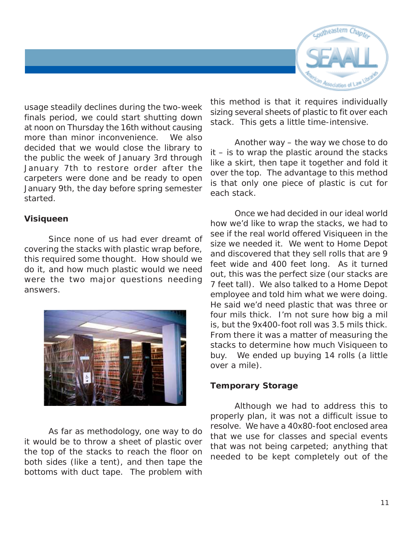

usage steadily declines during the two-week finals period, we could start shutting down at noon on Thursday the 16th without causing more than minor inconvenience. We also decided that we would close the library to the public the week of January 3rd through January 7th to restore order after the carpeters were done and be ready to open January 9th, the day before spring semester started.

#### **Visiqueen**

Since none of us had ever dreamt of covering the stacks with plastic wrap before, this required some thought. How should we do it, and how much plastic would we need were the two major questions needing answers.



As far as methodology, one way to do it would be to throw a sheet of plastic over the top of the stacks to reach the floor on both sides (like a tent), and then tape the bottoms with duct tape. The problem with

this method is that it requires individually sizing several sheets of plastic to fit over each stack. This gets a little time-intensive.

Another way – the way we chose to do it – is to wrap the plastic around the stacks like a skirt, then tape it together and fold it over the top. The advantage to this method is that only one piece of plastic is cut for each stack.

Once we had decided in our ideal world how we'd like to wrap the stacks, we had to see if the real world offered Visiqueen in the size we needed it. We went to Home Depot and discovered that they sell rolls that are 9 feet wide and 400 feet long. As it turned out, this was the perfect size (our stacks are 7 feet tall). We also talked to a Home Depot employee and told him what we were doing. He said we'd need plastic that was three or four mils thick. I'm not sure how big a mil is, but the 9x400-foot roll was 3.5 mils thick. From there it was a matter of measuring the stacks to determine how much Visiqueen to buy. We ended up buying 14 rolls (a little over a mile).

#### **Temporary Storage**

Although we had to address this to properly plan, it was not a difficult issue to resolve. We have a 40x80-foot enclosed area that we use for classes and special events that was not being carpeted; anything that needed to be kept completely out of the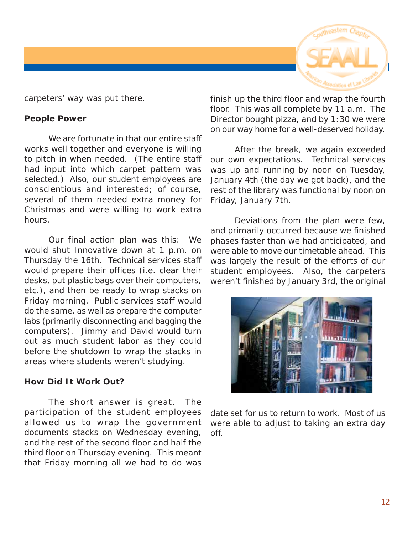

carpeters' way was put there.

#### **People Power**

We are fortunate in that our entire staff works well together and everyone is willing to pitch in when needed. (The entire staff had input into which carpet pattern was selected.) Also, our student employees are conscientious and interested; of course, several of them needed extra money for Christmas and were willing to work extra hours.

Our final action plan was this: We would shut Innovative down at 1 p.m. on Thursday the 16th. Technical services staff would prepare their offices (i.e. clear their desks, put plastic bags over their computers, etc.), and then be ready to wrap stacks on Friday morning. Public services staff would do the same, as well as prepare the computer labs (primarily disconnecting and bagging the computers). Jimmy and David would turn out as much student labor as they could before the shutdown to wrap the stacks in areas where students weren't studying.

#### **How Did It Work Out?**

The short answer is great. The participation of the student employees allowed us to wrap the government documents stacks on Wednesday evening, and the rest of the second floor and half the third floor on Thursday evening. This meant that Friday morning all we had to do was

finish up the third floor and wrap the fourth floor. This was all complete by 11 a.m. The Director bought pizza, and by 1:30 we were on our way home for a well-deserved holiday.

After the break, we again exceeded our own expectations. Technical services was up and running by noon on Tuesday, January 4th (the day we got back), and the rest of the library was functional by noon on Friday, January 7th.

Deviations from the plan were few, and primarily occurred because we finished phases faster than we had anticipated, and were able to move our timetable ahead. This was largely the result of the efforts of our student employees. Also, the carpeters weren't finished by January 3rd, the original



date set for us to return to work. Most of us were able to adjust to taking an extra day off.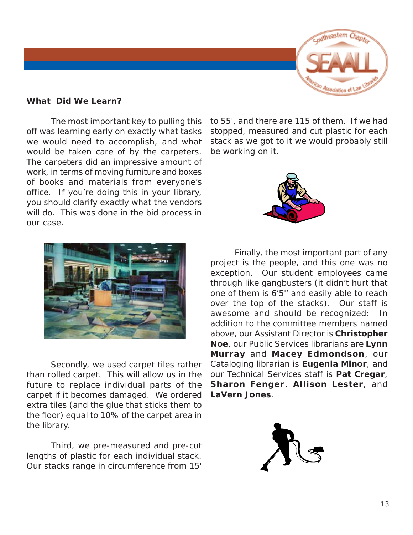

#### **What Did We Learn?**

The most important key to pulling this off was learning early on exactly what tasks we would need to accomplish, and what would be taken care of by the carpeters. The carpeters did an impressive amount of work, in terms of moving furniture and boxes of books and materials from everyone's office. If you're doing this in your library, you should clarify exactly what the vendors will do. This was done in the bid process in our case.



Secondly, we used carpet tiles rather than rolled carpet. This will allow us in the future to replace individual parts of the carpet if it becomes damaged. We ordered extra tiles (and the glue that sticks them to the floor) equal to 10% of the carpet area in the library.

Third, we pre-measured and pre-cut lengths of plastic for each individual stack. Our stacks range in circumference from 15'

to 55', and there are 115 of them. If we had stopped, measured and cut plastic for each stack as we got to it we would probably still be working on it.



Finally, the most important part of any project is the people, and this one was no exception. Our student employees came through like gangbusters (it didn't hurt that one of them is 6'5'' and easily able to reach over the top of the stacks). Our staff is awesome and should be recognized: In addition to the committee members named above, our Assistant Director is **Christopher Noe**, our Public Services librarians are **Lynn Murray** and **Macey Edmondson**, our Cataloging librarian is **Eugenia Minor**, and our Technical Services staff is **Pat Cregar**, **Sharon Fenger**, **Allison Lester**, and **LaVern Jones**.

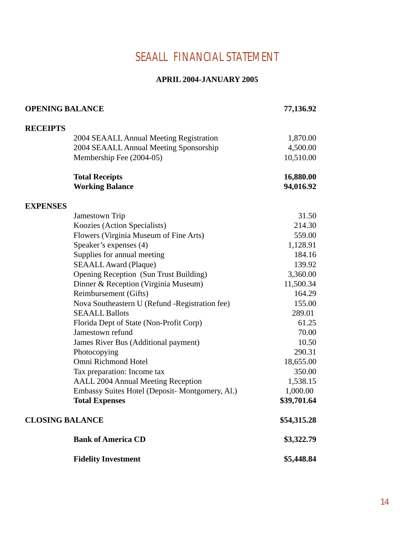# **SEAALL FINANCIAL STATEMENT**

#### **APRIL 2004-JANUARY 2005**

<span id="page-13-0"></span>

| <b>OPENING BALANCE</b>                          | 77,136.92   |
|-------------------------------------------------|-------------|
| <b>RECEIPTS</b>                                 |             |
| 2004 SEAALL Annual Meeting Registration         | 1,870.00    |
| 2004 SEAALL Annual Meeting Sponsorship          | 4,500.00    |
| Membership Fee (2004-05)                        | 10,510.00   |
|                                                 |             |
| <b>Total Receipts</b>                           | 16,880.00   |
| <b>Working Balance</b>                          | 94,016.92   |
| <b>EXPENSES</b>                                 |             |
| Jamestown Trip                                  | 31.50       |
| Koozies (Action Specialists)                    | 214.30      |
| Flowers (Virginia Museum of Fine Arts)          | 559.00      |
| Speaker's expenses (4)                          | 1,128.91    |
| Supplies for annual meeting                     | 184.16      |
| <b>SEAALL Award (Plaque)</b>                    | 139.92      |
| Opening Reception (Sun Trust Building)          | 3,360.00    |
| Dinner & Reception (Virginia Museum)            | 11,500.34   |
| Reimbursement (Gifts)                           | 164.29      |
| Nova Southeastern U (Refund - Registration fee) | 155.00      |
| <b>SEAALL Ballots</b>                           | 289.01      |
| Florida Dept of State (Non-Profit Corp)         | 61.25       |
| Jamestown refund                                | 70.00       |
| James River Bus (Additional payment)            | 10.50       |
| Photocopying                                    | 290.31      |
| Omni Richmond Hotel                             | 18,655.00   |
| Tax preparation: Income tax                     | 350.00      |
| <b>AALL 2004 Annual Meeting Reception</b>       | 1,538.15    |
| Embassy Suites Hotel (Deposit- Montgomery, Al.) | 1,000.00    |
| <b>Total Expenses</b>                           | \$39,701.64 |
| <b>CLOSING BALANCE</b>                          | \$54,315.28 |
| <b>Bank of America CD</b>                       | \$3,322.79  |
| <b>Fidelity Investment</b>                      | \$5,448.84  |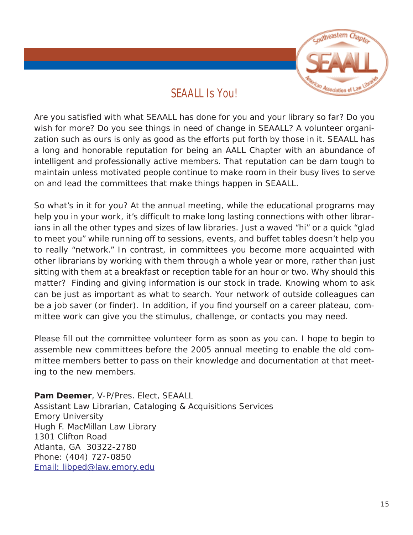

# **SEAALL Is You!**

<span id="page-14-0"></span>Are you satisfied with what SEAALL has done for you and your library so far? Do you wish for more? Do you see things in need of change in SEAALL? A volunteer organization such as ours is only as good as the efforts put forth by those in it. SEAALL has a long and honorable reputation for being an AALL Chapter with an abundance of intelligent and professionally active members. That reputation can be darn tough to maintain unless motivated people continue to make room in their busy lives to serve on and lead the committees that make things happen in SEAALL.

So what's in it for you? At the annual meeting, while the educational programs may help you in your work, it's difficult to make long lasting connections with other librarians in all the other types and sizes of law libraries. Just a waved "hi" or a quick "glad to meet you" while running off to sessions, events, and buffet tables doesn't help you to really "network." In contrast, in committees you become more acquainted with other librarians by working with them through a whole year or more, rather than just sitting with them at a breakfast or reception table for an hour or two. Why should this matter? Finding and giving information is our stock in trade. Knowing whom to ask can be just as important as what to search. Your network of outside colleagues can be a job saver (or finder). In addition, if you find yourself on a career plateau, committee work can give you the stimulus, challenge, or contacts you may need.

Please fill out the committee volunteer form as soon as you can. I hope to begin to assemble new committees before the 2005 annual meeting to enable the old committee members better to pass on their knowledge and documentation at that meeting to the new members.

**Pam Deemer**, V-P/Pres. Elect, SEAALL Assistant Law Librarian, Cataloging & Acquisitions Services Emory University Hugh F. MacMillan Law Library 1301 Clifton Road Atlanta, GA 30322-2780 Phone: (404) 727-0850 [Email: libped@law.emory.edu](mailto:libped@law.emory.edu)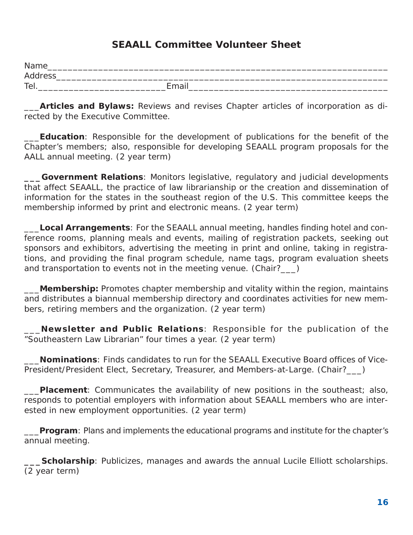## **SEAALL Committee Volunteer Sheet**

| Name    |              |  |
|---------|--------------|--|
| Address |              |  |
| Tel.    | Email<br>- 1 |  |

\_\_\_**Articles and Bylaws:** Reviews and revises Chapter articles of incorporation as directed by the Executive Committee.

\_\_\_**Education**: Responsible for the development of publications for the benefit of the Chapter's members; also, responsible for developing SEAALL program proposals for the AALL annual meeting. (2 year term)

**\_\_\_Government Relations**: Monitors legislative, regulatory and judicial developments that affect SEAALL, the practice of law librarianship or the creation and dissemination of information for the states in the southeast region of the U.S. This committee keeps the membership informed by print and electronic means. (2 year term)

Local Arrangements: For the SEAALL annual meeting, handles finding hotel and conference rooms, planning meals and events, mailing of registration packets, seeking out sponsors and exhibitors, advertising the meeting in print and online, taking in registrations, and providing the final program schedule, name tags, program evaluation sheets and transportation to events not in the meeting venue. (Chair?)

\_\_\_**Membership:** Promotes chapter membership and vitality within the region, maintains and distributes a biannual membership directory and coordinates activities for new members, retiring members and the organization. (2 year term)

\_\_\_**Newsletter and Public Relations**: Responsible for the publication of the "Southeastern Law Librarian" four times a year. (2 year term)

\_\_\_**Nominations**: Finds candidates to run for the SEAALL Executive Board offices of Vice-President/President Elect, Secretary, Treasurer, and Members-at-Large. (Chair?\_\_\_)

\_\_\_**Placement**: Communicates the availability of new positions in the southeast; also, responds to potential employers with information about SEAALL members who are interested in new employment opportunities. (2 year term)

\_\_\_**Program**: Plans and implements the educational programs and institute for the chapter's annual meeting.

**Scholarship**: Publicizes, manages and awards the annual Lucile Elliott scholarships. (2 year term)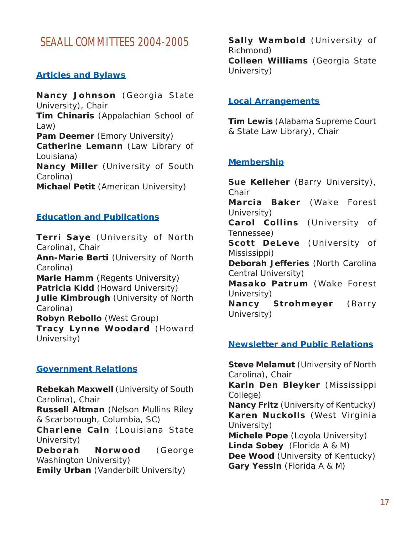# <span id="page-16-0"></span>**SEAALL COMMITTEES 2004-2005**

#### **Articles and Bylaws**

**Nancy Johnson** (Georgia State University), Chair **Tim Chinaris** (Appalachian School of Law) **Pam Deemer** (Emory University) **Catherine Lemann** (Law Library of Louisiana) **Nancy Miller** (University of South Carolina) **Michael Petit** (American University)

#### **Education and Publications**

**Terri Saye** (University of North Carolina), Chair **Ann-Marie Berti** (University of North

Carolina) **Marie Hamm** (Regents University)

**Patricia Kidd** (Howard University) **Julie Kimbrough** (University of North Carolina)

**Robyn Rebollo** (West Group) **Tracy Lynne Woodard** (Howard University)

#### **Government Relations**

**Rebekah Maxwell** (University of South Carolina), Chair **Russell Altman** (Nelson Mullins Riley & Scarborough, Columbia, SC) **Charlene Cain** (Louisiana State University) **Deborah Norwood** (George Washington University) **Emily Urban** (Vanderbilt University)

**Sally Wambold** (University of Richmond) **Colleen Williams** (Georgia State University)

#### **Local Arrangements**

**Tim Lewis** (Alabama Supreme Court & State Law Library), Chair

#### **Membership**

**Sue Kelleher** (Barry University), **Chair Marcia Baker** (Wake Forest University) **Carol Collins** (University of Tennessee) **Scott DeLeve** (University of Mississippi) **Deborah Jefferies** (North Carolina Central University) **Masako Patrum** (Wake Forest University) **Nancy Strohmeyer** (Barry University)

#### **Newsletter and Public Relations**

**Steve Melamut** (University of North Carolina), Chair **Karin Den Bleyker** (Mississippi College) **Nancy Fritz** (University of Kentucky) **Karen Nuckolls** (West Virginia University) **Michele Pope** (Loyola University) **Linda Sobey** (Florida A & M) **Dee Wood** (University of Kentucky) **Gary Yessin** (Florida A & M)